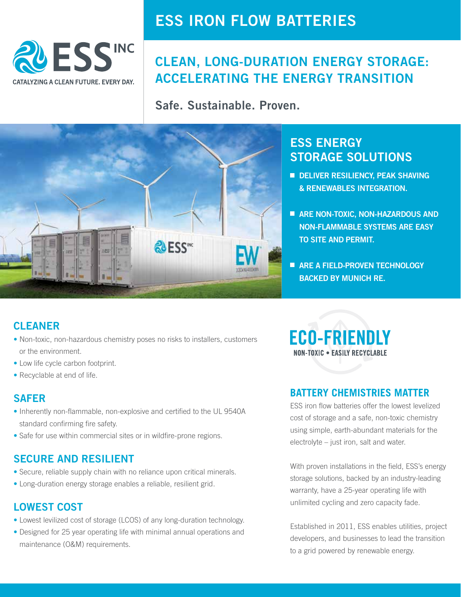

## **ESS IRON FLOW BATTERIES**

## **CLEAN, LONG-DURATION ENERGY STORAGE: ACCELERATING THE ENERGY TRANSITION**

**Safe. Sustainable. Proven.**



## **ESS ENERGY STORAGE SOLUTIONS**

- **E DELIVER RESILIENCY, PEAK SHAVING & RENEWABLES INTEGRATION.**
- **ARE NON-TOXIC, NON-HAZARDOUS AND NON-FLAMMABLE SYSTEMS ARE EASY TO SITE AND PERMIT.**
- **ARE A FIELD-PROVEN TECHNOLOGY BACKED BY MUNICH RE.**

## **CLEANER**

- Non-toxic, non-hazardous chemistry poses no risks to installers, customers or the environment.
- Low life cycle carbon footprint.
- Recyclable at end of life.

### **SAFER**

- Inherently non-flammable, non-explosive and certified to the UL 9540A standard confirming fire safety.
- Safe for use within commercial sites or in wildfire-prone regions.

### **SECURE AND RESILIENT**

- Secure, reliable supply chain with no reliance upon critical minerals.
- Long-duration energy storage enables a reliable, resilient grid.

### **LOWEST COST**

- Lowest levilized cost of storage (LCOS) of any long-duration technology.
- Designed for 25 year operating life with minimal annual operations and maintenance (O&M) requirements.

**ECO-FRIENDLY** NON-TOXIC . EASILY RECYCLABLE

### **BATTERY CHEMISTRIES MATTER**

ESS iron flow batteries offer the lowest levelized cost of storage and a safe, non-toxic chemistry using simple, earth-abundant materials for the electrolyte – just iron, salt and water.

With proven installations in the field, ESS's energy storage solutions, backed by an industry-leading warranty, have a 25-year operating life with unlimited cycling and zero capacity fade.

Established in 2011, ESS enables utilities, project developers, and businesses to lead the transition to a grid powered by renewable energy.